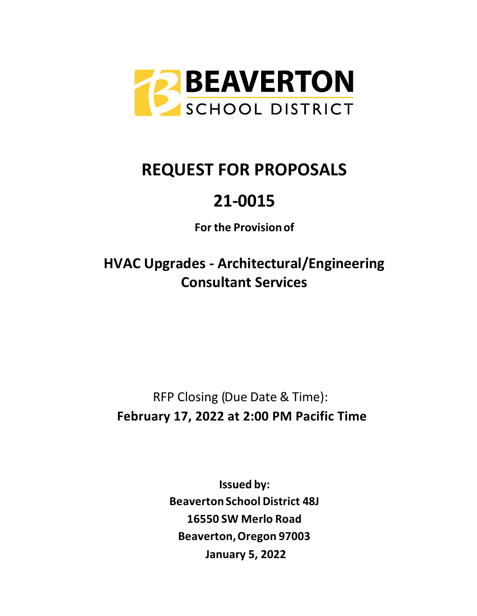

# **REQUEST FOR PROPOSALS**

# **21-0015**

**For the Provision of**

**HVAC Upgrades - Architectural/Engineering Consultant Services**

RFP Closing (Due Date & Time): **February 17, 2022 at 2:00 PM Pacific Time**

> **Issued by: Beaverton School District 48J 16550 SW Merlo Road Beaverton, Oregon 97003 January 5, 2022**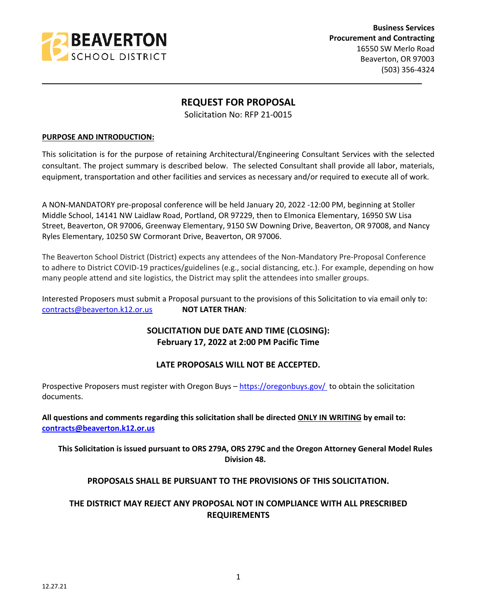

**Business Services Procurement and Contracting** 16550 SW Merlo Road Beaverton, OR 97003 (503) 356-4324

### **REQUEST FOR PROPOSAL**

\_\_\_\_\_\_\_\_\_\_\_\_\_\_\_\_\_\_\_\_\_\_\_\_\_\_\_\_\_\_\_\_\_\_\_\_\_\_\_\_\_\_\_\_\_\_\_\_\_\_\_\_\_\_\_\_\_\_\_\_\_\_\_\_\_\_\_\_\_\_\_\_\_\_\_\_\_\_\_\_\_\_\_\_\_\_\_\_\_

Solicitation No: RFP 21-0015

#### **PURPOSE AND INTRODUCTION:**

This solicitation is for the purpose of retaining Architectural/Engineering Consultant Services with the selected consultant. The project summary is described below. The selected Consultant shall provide all labor, materials, equipment, transportation and other facilities and services as necessary and/or required to execute all of work.

A NON-MANDATORY pre-proposal conference will be held January 20, 2022 -12:00 PM, beginning at Stoller Middle School, 14141 NW Laidlaw Road, Portland, OR 97229, then to Elmonica Elementary, 16950 SW Lisa Street, Beaverton, OR 97006, Greenway Elementary, 9150 SW Downing Drive, Beaverton, OR 97008, and Nancy Ryles Elementary, 10250 SW Cormorant Drive, Beaverton, OR 97006.

The Beaverton School District (District) expects any attendees of the Non-Mandatory Pre-Proposal Conference to adhere to District COVID-19 practices/guidelines (e.g., social distancing, etc.). For example, depending on how many people attend and site logistics, the District may split the attendees into smaller groups.

Interested Proposers must submit a Proposal pursuant to the provisions of this Solicitation to via email only to: [contracts@beaverton.k12.or.us](mailto:contracts@beaverton.k12.or.us) **NOT LATER THAN**:

## **SOLICITATION DUE DATE AND TIME (CLOSING): February 17, 2022 at 2:00 PM Pacific Time**

#### **LATE PROPOSALS WILL NOT BE ACCEPTED.**

Prospective Proposers must register with Oregon Buys -<https://oregonbuys.gov/>to obtain the solicitation documents.

**All questions and comments regarding this solicitation shall be directed ONLY IN WRITING by email to: [contracts@beaverton.k12.or.us](mailto:contracts@beaverton.k12.or.us)**

#### **This Solicitation is issued pursuant to ORS 279A, ORS 279C and the Oregon Attorney General Model Rules Division 48.**

#### **PROPOSALS SHALL BE PURSUANT TO THE PROVISIONS OF THIS SOLICITATION.**

### **THE DISTRICT MAY REJECT ANY PROPOSAL NOT IN COMPLIANCE WITH ALL PRESCRIBED REQUIREMENTS**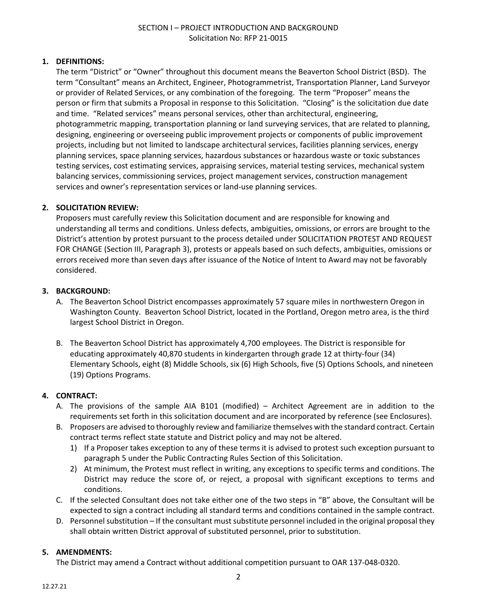#### SECTION I – PROJECT INTRODUCTION AND BACKGROUND Solicitation No: RFP 21-0015

#### **1. DEFINITIONS:**

The term "District" or "Owner" throughout this document means the Beaverton School District (BSD). The term "Consultant" means an Architect, Engineer, Photogrammetrist, Transportation Planner, Land Surveyor or provider of Related Services, or any combination of the foregoing. The term "Proposer" means the person or firm that submits a Proposal in response to this Solicitation. "Closing" is the solicitation due date and time. "Related services" means personal services, other than architectural, engineering, photogrammetric mapping, transportation planning or land surveying services, that are related to planning, designing, engineering or overseeing public improvement projects or components of public improvement projects, including but not limited to landscape architectural services, facilities planning services, energy planning services, space planning services, hazardous substances or hazardous waste or toxic substances testing services, cost estimating services, appraising services, material testing services, mechanical system balancing services, commissioning services, project management services, construction management services and owner's representation services or land-use planning services.

#### **2. SOLICITATION REVIEW:**

Proposers must carefully review this Solicitation document and are responsible for knowing and understanding all terms and conditions. Unless defects, ambiguities, omissions, or errors are brought to the District's attention by protest pursuant to the process detailed under SOLICITATION PROTEST AND REQUEST FOR CHANGE (Section III, Paragraph 3), protests or appeals based on such defects, ambiguities, omissions or errors received more than seven days after issuance of the Notice of Intent to Award may not be favorably considered.

#### **3. BACKGROUND:**

- A. The Beaverton School District encompasses approximately 57 square miles in northwestern Oregon in Washington County. Beaverton School District, located in the Portland, Oregon metro area, is the third largest School District in Oregon.
- B. The Beaverton School District has approximately 4,700 employees. The District is responsible for educating approximately 40,870 students in kindergarten through grade 12 at thirty-four (34) Elementary Schools, eight (8) Middle Schools, six (6) High Schools, five (5) Options Schools, and nineteen (19) Options Programs.

#### **4. CONTRACT:**

- A. The provisions of the sample AIA B101 (modified) Architect Agreement are in addition to the requirements set forth in this solicitation document and are incorporated by reference (see Enclosures).
- B. Proposers are advised to thoroughly review and familiarize themselves with the standard contract. Certain contract terms reflect state statute and District policy and may not be altered.
	- 1) If a Proposer takes exception to any of these terms it is advised to protest such exception pursuant to paragraph 5 under the Public Contracting Rules Section of this Solicitation.
	- 2) At minimum, the Protest must reflect in writing, any exceptions to specific terms and conditions. The District may reduce the score of, or reject, a proposal with significant exceptions to terms and conditions.
- C. If the selected Consultant does not take either one of the two steps in "B" above, the Consultant will be expected to sign a contract including all standard terms and conditions contained in the sample contract.
- D. Personnel substitution If the consultant must substitute personnel included in the original proposal they shall obtain written District approval of substituted personnel, prior to substitution.

#### **5. AMENDMENTS:**

The District may amend a Contract without additional competition pursuant to OAR 137-048-0320.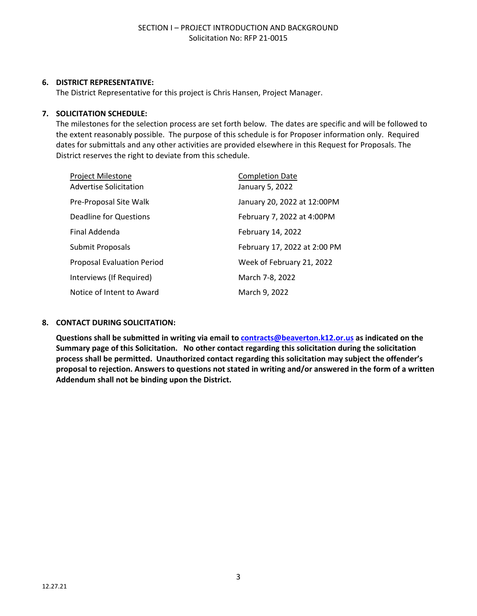#### **6. DISTRICT REPRESENTATIVE:**

The District Representative for this project is Chris Hansen, Project Manager.

#### **7. SOLICITATION SCHEDULE:**

The milestones for the selection process are set forth below. The dates are specific and will be followed to the extent reasonably possible. The purpose of this schedule is for Proposer information only. Required dates for submittals and any other activities are provided elsewhere in this Request for Proposals. The District reserves the right to deviate from this schedule.

| Project Milestone                 | <b>Completion Date</b>       |
|-----------------------------------|------------------------------|
| <b>Advertise Solicitation</b>     | January 5, 2022              |
| Pre-Proposal Site Walk            | January 20, 2022 at 12:00PM  |
| Deadline for Questions            | February 7, 2022 at 4:00PM   |
| Final Addenda                     | February 14, 2022            |
| Submit Proposals                  | February 17, 2022 at 2:00 PM |
| <b>Proposal Evaluation Period</b> | Week of February 21, 2022    |
| Interviews (If Required)          | March 7-8, 2022              |
| Notice of Intent to Award         | March 9, 2022                |

#### **8. CONTACT DURING SOLICITATION:**

**Questions shall be submitted in writing via email to [contracts@beaverton.k12.or.us](mailto:contracts@beaverton.k12.or.us) as indicated on the Summary page of this Solicitation. No other contact regarding this solicitation during the solicitation process shall be permitted. Unauthorized contact regarding this solicitation may subject the offender's proposal to rejection. Answers to questions not stated in writing and/or answered in the form of a written Addendum shall not be binding upon the District.**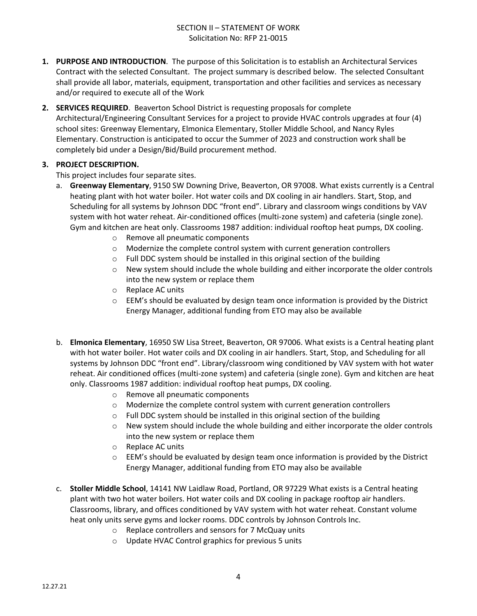- **1. PURPOSE AND INTRODUCTION**. The purpose of this Solicitation is to establish an Architectural Services Contract with the selected Consultant. The project summary is described below. The selected Consultant shall provide all labor, materials, equipment, transportation and other facilities and services as necessary and/or required to execute all of the Work
- **2. SERVICES REQUIRED**. Beaverton School District is requesting proposals for complete Architectural/Engineering Consultant Services for a project to provide HVAC controls upgrades at four (4) school sites: Greenway Elementary, Elmonica Elementary, Stoller Middle School, and Nancy Ryles Elementary. Construction is anticipated to occur the Summer of 2023 and construction work shall be completely bid under a Design/Bid/Build procurement method.

#### **3. PROJECT DESCRIPTION.**

This project includes four separate sites.

- a. **Greenway Elementary**, 9150 SW Downing Drive, Beaverton, OR 97008. What exists currently is a Central heating plant with hot water boiler. Hot water coils and DX cooling in air handlers. Start, Stop, and Scheduling for all systems by Johnson DDC "front end". Library and classroom wings conditions by VAV system with hot water reheat. Air-conditioned offices (multi-zone system) and cafeteria (single zone). Gym and kitchen are heat only. Classrooms 1987 addition: individual rooftop heat pumps, DX cooling.
	- o Remove all pneumatic components
	- o Modernize the complete control system with current generation controllers
	- $\circ$  Full DDC system should be installed in this original section of the building
	- $\circ$  New system should include the whole building and either incorporate the older controls into the new system or replace them
	- o Replace AC units
	- $\circ$  EEM's should be evaluated by design team once information is provided by the District Energy Manager, additional funding from ETO may also be available
- b. **Elmonica Elementary**, 16950 SW Lisa Street, Beaverton, OR 97006. What exists is a Central heating plant with hot water boiler. Hot water coils and DX cooling in air handlers. Start, Stop, and Scheduling for all systems by Johnson DDC "front end". Library/classroom wing conditioned by VAV system with hot water reheat. Air conditioned offices (multi-zone system) and cafeteria (single zone). Gym and kitchen are heat only. Classrooms 1987 addition: individual rooftop heat pumps, DX cooling.
	- o Remove all pneumatic components
	- o Modernize the complete control system with current generation controllers
	- o Full DDC system should be installed in this original section of the building
	- o New system should include the whole building and either incorporate the older controls into the new system or replace them
	- o Replace AC units
	- $\circ$  EEM's should be evaluated by design team once information is provided by the District Energy Manager, additional funding from ETO may also be available
- c. **Stoller Middle School**, 14141 NW Laidlaw Road, Portland, OR 97229 What exists is a Central heating plant with two hot water boilers. Hot water coils and DX cooling in package rooftop air handlers. Classrooms, library, and offices conditioned by VAV system with hot water reheat. Constant volume heat only units serve gyms and locker rooms. DDC controls by Johnson Controls Inc.
	- o Replace controllers and sensors for 7 McQuay units
	- o Update HVAC Control graphics for previous 5 units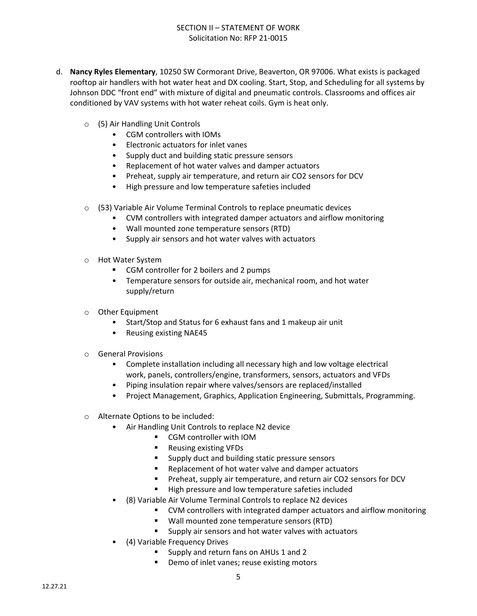- d. **Nancy Ryles Elementary**, 10250 SW Cormorant Drive, Beaverton, OR 97006. What exists is packaged rooftop air handlers with hot water heat and DX cooling. Start, Stop, and Scheduling for all systems by Johnson DDC "front end" with mixture of digital and pneumatic controls. Classrooms and offices air conditioned by VAV systems with hot water reheat coils. Gym is heat only.
	- o (5) Air Handling Unit Controls
		- CGM controllers with IOMs
		- Electronic actuators for inlet vanes
		- Supply duct and building static pressure sensors
		- Replacement of hot water valves and damper actuators
		- Preheat, supply air temperature, and return air CO2 sensors for DCV
		- High pressure and low temperature safeties included
	- o (53) Variable Air Volume Terminal Controls to replace pneumatic devices
		- CVM controllers with integrated damper actuators and airflow monitoring
		- Wall mounted zone temperature sensors (RTD)
		- Supply air sensors and hot water valves with actuators
	- o Hot Water System
		- CGM controller for 2 boilers and 2 pumps
		- Temperature sensors for outside air, mechanical room, and hot water supply/return
	- o Other Equipment
		- Start/Stop and Status for 6 exhaust fans and 1 makeup air unit
		- Reusing existing NAE45
	- o General Provisions
		- Complete installation including all necessary high and low voltage electrical work, panels, controllers/engine, transformers, sensors, actuators and VFDs
		- Piping insulation repair where valves/sensors are replaced/installed
		- Project Management, Graphics, Application Engineering, Submittals, Programming.
	- o Alternate Options to be included:
		- Air Handling Unit Controls to replace N2 device
			- CGM controller with IOM
			- **Reusing existing VFDs**
			- **Supply duct and building static pressure sensors**
			- Replacement of hot water valve and damper actuators
			- **Preheat, supply air temperature, and return air CO2 sensors for DCV**
			- **High pressure and low temperature safeties included**
		- (8) Variable Air Volume Terminal Controls to replace N2 devices
			- CVM controllers with integrated damper actuators and airflow monitoring
			- **Wall mounted zone temperature sensors (RTD)**
			- **Supply air sensors and hot water valves with actuators**
		- (4) Variable Frequency Drives
			- Supply and return fans on AHUs 1 and 2
			- **•** Demo of inlet vanes; reuse existing motors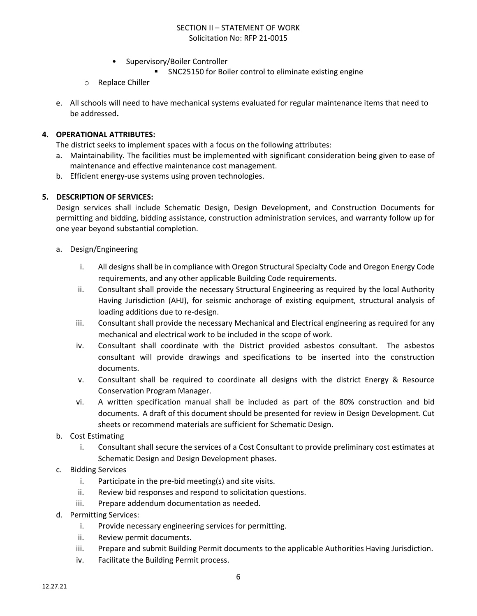- Supervisory/Boiler Controller
	- SNC25150 for Boiler control to eliminate existing engine
- o Replace Chiller
- e. All schools will need to have mechanical systems evaluated for regular maintenance items that need to be addressed**.**

#### **4. OPERATIONAL ATTRIBUTES:**

The district seeks to implement spaces with a focus on the following attributes:

- a. Maintainability. The facilities must be implemented with significant consideration being given to ease of maintenance and effective maintenance cost management.
- b. Efficient energy-use systems using proven technologies.

#### **5. DESCRIPTION OF SERVICES:**

Design services shall include Schematic Design, Design Development, and Construction Documents for permitting and bidding, bidding assistance, construction administration services, and warranty follow up for one year beyond substantial completion.

- a. Design/Engineering
	- i. All designs shall be in compliance with Oregon Structural Specialty Code and Oregon Energy Code requirements, and any other applicable Building Code requirements.
	- ii. Consultant shall provide the necessary Structural Engineering as required by the local Authority Having Jurisdiction (AHJ), for seismic anchorage of existing equipment, structural analysis of loading additions due to re-design.
	- iii. Consultant shall provide the necessary Mechanical and Electrical engineering as required for any mechanical and electrical work to be included in the scope of work.
	- iv. Consultant shall coordinate with the District provided asbestos consultant. The asbestos consultant will provide drawings and specifications to be inserted into the construction documents.
	- v. Consultant shall be required to coordinate all designs with the district Energy & Resource Conservation Program Manager.
	- vi. A written specification manual shall be included as part of the 80% construction and bid documents. A draft of this document should be presented for review in Design Development. Cut sheets or recommend materials are sufficient for Schematic Design.
- b. Cost Estimating
	- i. Consultant shall secure the services of a Cost Consultant to provide preliminary cost estimates at Schematic Design and Design Development phases.
- c. Bidding Services
	- i. Participate in the pre-bid meeting(s) and site visits.
	- ii. Review bid responses and respond to solicitation questions.
	- iii. Prepare addendum documentation as needed.
- d. Permitting Services:
	- i. Provide necessary engineering services for permitting.
	- ii. Review permit documents.
	- iii. Prepare and submit Building Permit documents to the applicable Authorities Having Jurisdiction.
	- iv. Facilitate the Building Permit process.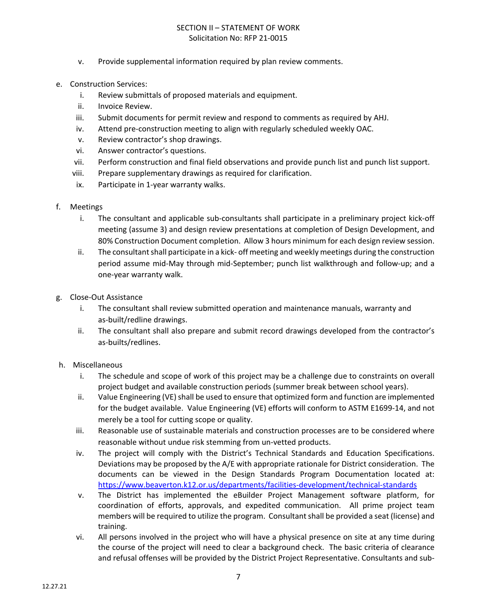- v. Provide supplemental information required by plan review comments.
- e. Construction Services:
	- i. Review submittals of proposed materials and equipment.
	- ii. Invoice Review.
	- iii. Submit documents for permit review and respond to comments as required by AHJ.
	- iv. Attend pre-construction meeting to align with regularly scheduled weekly OAC.
	- v. Review contractor's shop drawings.
	- vi. Answer contractor's questions.
	- vii. Perform construction and final field observations and provide punch list and punch list support.
	- viii. Prepare supplementary drawings as required for clarification.
	- ix. Participate in 1-year warranty walks.
- f. Meetings
	- i. The consultant and applicable sub-consultants shall participate in a preliminary project kick-off meeting (assume 3) and design review presentations at completion of Design Development, and 80% Construction Document completion. Allow 3 hours minimum for each design review session.
	- ii. The consultant shall participate in a kick- off meeting and weekly meetings during the construction period assume mid-May through mid-September; punch list walkthrough and follow-up; and a one-year warranty walk.
- g. Close-Out Assistance
	- i. The consultant shall review submitted operation and maintenance manuals, warranty and as-built/redline drawings.
	- ii. The consultant shall also prepare and submit record drawings developed from the contractor's as-builts/redlines.
- h. Miscellaneous
	- i. The schedule and scope of work of this project may be a challenge due to constraints on overall project budget and available construction periods (summer break between school years).
	- ii. Value Engineering (VE) shall be used to ensure that optimized form and function are implemented for the budget available. Value Engineering (VE) efforts will conform to ASTM E1699-14, and not merely be a tool for cutting scope or quality.
	- iii. Reasonable use of sustainable materials and construction processes are to be considered where reasonable without undue risk stemming from un-vetted products.
	- iv. The project will comply with the District's Technical Standards and Education Specifications. Deviations may be proposed by the A/E with appropriate rationale for District consideration. The documents can be viewed in the Design Standards Program Documentation located at: <https://www.beaverton.k12.or.us/departments/facilities-development/technical-standards>
	- v. The District has implemented the eBuilder Project Management software platform, for coordination of efforts, approvals, and expedited communication. All prime project team members will be required to utilize the program. Consultant shall be provided a seat (license) and training.
	- vi. All persons involved in the project who will have a physical presence on site at any time during the course of the project will need to clear a background check. The basic criteria of clearance and refusal offenses will be provided by the District Project Representative. Consultants and sub-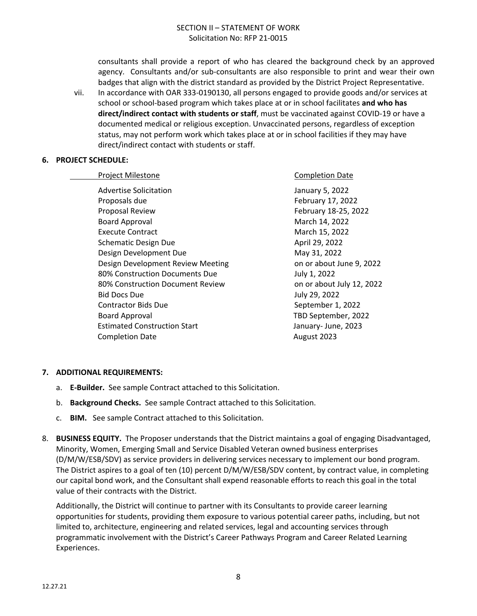consultants shall provide a report of who has cleared the background check by an approved agency. Consultants and/or sub-consultants are also responsible to print and wear their own badges that align with the district standard as provided by the District Project Representative.

vii. In accordance with OAR 333-0190130, all persons engaged to provide goods and/or services at school or school-based program which takes place at or in school facilitates **and who has direct/indirect contact with students or staff**, must be vaccinated against COVID-19 or have a documented medical or religious exception. Unvaccinated persons, regardless of exception status, may not perform work which takes place at or in school facilities if they may have direct/indirect contact with students or staff.

#### **6. PROJECT SCHEDULE:**

| Project Milestone                   | <b>Completion Date</b>    |
|-------------------------------------|---------------------------|
| <b>Advertise Solicitation</b>       | January 5, 2022           |
| Proposals due                       | February 17, 2022         |
| Proposal Review                     | February 18-25, 2022      |
| <b>Board Approval</b>               | March 14, 2022            |
| <b>Execute Contract</b>             | March 15, 2022            |
| <b>Schematic Design Due</b>         | April 29, 2022            |
| Design Development Due              | May 31, 2022              |
| Design Development Review Meeting   | on or about June 9, 2022  |
| 80% Construction Documents Due      | July 1, 2022              |
| 80% Construction Document Review    | on or about July 12, 2022 |
| <b>Bid Docs Due</b>                 | July 29, 2022             |
| <b>Contractor Bids Due</b>          | September 1, 2022         |
| <b>Board Approval</b>               | TBD September, 2022       |
| <b>Estimated Construction Start</b> | January- June, 2023       |
| <b>Completion Date</b>              | August 2023               |
|                                     |                           |

#### **7. ADDITIONAL REQUIREMENTS:**

- a. **E-Builder.** See sample Contract attached to this Solicitation.
- b. **Background Checks.** See sample Contract attached to this Solicitation.
- c. **BIM.** See sample Contract attached to this Solicitation.
- 8. **BUSINESS EQUITY.** The Proposer understands that the District maintains a goal of engaging Disadvantaged, Minority, Women, Emerging Small and Service Disabled Veteran owned business enterprises (D/M/W/ESB/SDV) as service providers in delivering services necessary to implement our bond program. The District aspires to a goal of ten (10) percent D/M/W/ESB/SDV content, by contract value, in completing our capital bond work, and the Consultant shall expend reasonable efforts to reach this goal in the total value of their contracts with the District.

Additionally, the District will continue to partner with its Consultants to provide career learning opportunities for students, providing them exposure to various potential career paths, including, but not limited to, architecture, engineering and related services, legal and accounting services through programmatic involvement with the District's Career Pathways Program and Career Related Learning Experiences.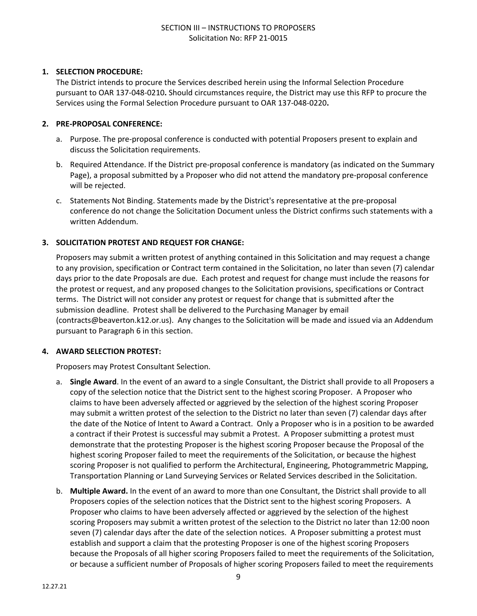#### **1. SELECTION PROCEDURE:**

The District intends to procure the Services described herein using the Informal Selection Procedure pursuant to OAR [137-048-0210](https://secure.sos.state.or.us/oard/viewSingleRule.action?ruleVrsnRsn=266357)**.** Should circumstances require, the District may use this RFP to procure the Services using the Formal Selection Procedure pursuant to OAR [137-048-0220](https://secure.sos.state.or.us/oard/viewSingleRule.action?ruleVrsnRsn=266357)**.**

#### **2. PRE-PROPOSAL CONFERENCE:**

- a. Purpose. The pre-proposal conference is conducted with potential Proposers present to explain and discuss the Solicitation requirements.
- b. Required Attendance. If the District pre-proposal conference is mandatory (as indicated on the Summary Page), a proposal submitted by a Proposer who did not attend the mandatory pre-proposal conference will be rejected.
- c. Statements Not Binding. Statements made by the District's representative at the pre-proposal conference do not change the Solicitation Document unless the District confirms such statements with a written Addendum.

#### **3. SOLICITATION PROTEST AND REQUEST FOR CHANGE:**

Proposers may submit a written protest of anything contained in this Solicitation and may request a change to any provision, specification or Contract term contained in the Solicitation, no later than seven (7) calendar days prior to the date Proposals are due. Each protest and request for change must include the reasons for the protest or request, and any proposed changes to the Solicitation provisions, specifications or Contract terms. The District will not consider any protest or request for change that is submitted after the submission deadline. Protest shall be delivered to the Purchasing Manager by email (contracts@beaverton.k12.or.us). Any changes to the Solicitation will be made and issued via an Addendum pursuant to Paragraph 6 in this section.

#### **4. AWARD SELECTION PROTEST:**

Proposers may Protest Consultant Selection.

- a. **Single Award**. In the event of an award to a single Consultant, the District shall provide to all Proposers a copy of the selection notice that the District sent to the highest scoring Proposer. A Proposer who claims to have been adversely affected or aggrieved by the selection of the highest scoring Proposer may submit a written protest of the selection to the District no later than seven (7) calendar days after the date of the Notice of Intent to Award a Contract. Only a Proposer who is in a position to be awarded a contract if their Protest is successful may submit a Protest. A Proposer submitting a protest must demonstrate that the protesting Proposer is the highest scoring Proposer because the Proposal of the highest scoring Proposer failed to meet the requirements of the Solicitation, or because the highest scoring Proposer is not qualified to perform the Architectural, Engineering, Photogrammetric Mapping, Transportation Planning or Land Surveying Services or Related Services described in the Solicitation.
- b. **Multiple Award.** In the event of an award to more than one Consultant, the District shall provide to all Proposers copies of the selection notices that the District sent to the highest scoring Proposers. A Proposer who claims to have been adversely affected or aggrieved by the selection of the highest scoring Proposers may submit a written protest of the selection to the District no later than 12:00 noon seven (7) calendar days after the date of the selection notices. A Proposer submitting a protest must establish and support a claim that the protesting Proposer is one of the highest scoring Proposers because the Proposals of all higher scoring Proposers failed to meet the requirements of the Solicitation, or because a sufficient number of Proposals of higher scoring Proposers failed to meet the requirements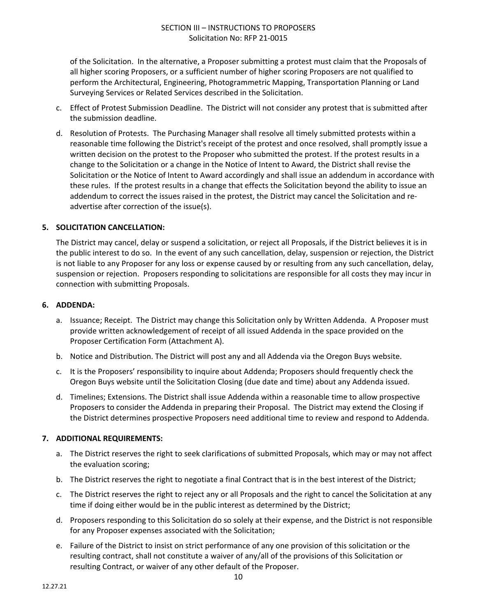of the Solicitation. In the alternative, a Proposer submitting a protest must claim that the Proposals of all higher scoring Proposers, or a sufficient number of higher scoring Proposers are not qualified to perform the Architectural, Engineering, Photogrammetric Mapping, Transportation Planning or Land Surveying Services or Related Services described in the Solicitation.

- c. Effect of Protest Submission Deadline. The District will not consider any protest that is submitted after the submission deadline.
- d. Resolution of Protests. The Purchasing Manager shall resolve all timely submitted protests within a reasonable time following the District's receipt of the protest and once resolved, shall promptly issue a written decision on the protest to the Proposer who submitted the protest. If the protest results in a change to the Solicitation or a change in the Notice of Intent to Award, the District shall revise the Solicitation or the Notice of Intent to Award accordingly and shall issue an addendum in accordance with these rules. If the protest results in a change that effects the Solicitation beyond the ability to issue an addendum to correct the issues raised in the protest, the District may cancel the Solicitation and readvertise after correction of the issue(s).

#### **5. SOLICITATION CANCELLATION:**

The District may cancel, delay or suspend a solicitation, or reject all Proposals, if the District believes it is in the public interest to do so. In the event of any such cancellation, delay, suspension or rejection, the District is not liable to any Proposer for any loss or expense caused by or resulting from any such cancellation, delay, suspension or rejection. Proposers responding to solicitations are responsible for all costs they may incur in connection with submitting Proposals.

#### **6. ADDENDA:**

- a. Issuance; Receipt. The District may change this Solicitation only by Written Addenda. A Proposer must provide written acknowledgement of receipt of all issued Addenda in the space provided on the Proposer Certification Form (Attachment A).
- b. Notice and Distribution. The District will post any and all Addenda via the Oregon Buys website.
- c. It is the Proposers' responsibility to inquire about Addenda; Proposers should frequently check the Oregon Buys website until the Solicitation Closing (due date and time) about any Addenda issued.
- d. Timelines; Extensions. The District shall issue Addenda within a reasonable time to allow prospective Proposers to consider the Addenda in preparing their Proposal. The District may extend the Closing if the District determines prospective Proposers need additional time to review and respond to Addenda.

#### **7. ADDITIONAL REQUIREMENTS:**

- a. The District reserves the right to seek clarifications of submitted Proposals, which may or may not affect the evaluation scoring;
- b. The District reserves the right to negotiate a final Contract that is in the best interest of the District;
- c. The District reserves the right to reject any or all Proposals and the right to cancel the Solicitation at any time if doing either would be in the public interest as determined by the District;
- d. Proposers responding to this Solicitation do so solely at their expense, and the District is not responsible for any Proposer expenses associated with the Solicitation;
- e. Failure of the District to insist on strict performance of any one provision of this solicitation or the resulting contract, shall not constitute a waiver of any/all of the provisions of this Solicitation or resulting Contract, or waiver of any other default of the Proposer.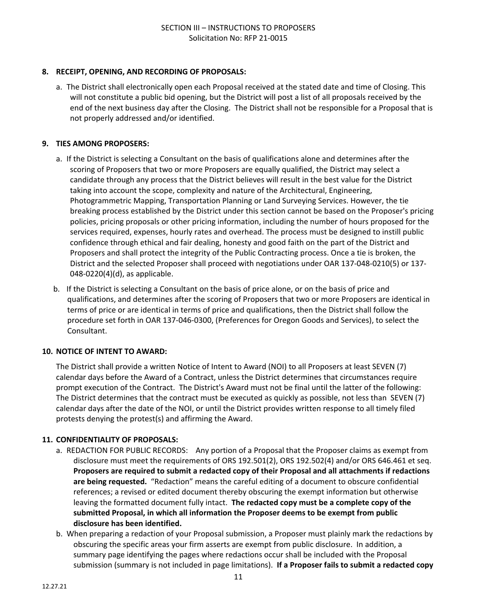#### **8. RECEIPT, OPENING, AND RECORDING OF PROPOSALS:**

a. The District shall electronically open each Proposal received at the stated date and time of Closing. This will not constitute a public bid opening, but the District will post a list of all proposals received by the end of the next business day after the Closing. The District shall not be responsible for a Proposal that is not properly addressed and/or identified.

#### **9. TIES AMONG PROPOSERS:**

- a. If the District is selecting a Consultant on the basis of qualifications alone and determines after the scoring of Proposers that two or more Proposers are equally qualified, the District may select a candidate through any process that the District believes will result in the best value for the District taking into account the scope, complexity and nature of the Architectural, Engineering, Photogrammetric Mapping, Transportation Planning or Land Surveying Services. However, the tie breaking process established by the District under this section cannot be based on the Proposer's pricing policies, pricing proposals or other pricing information, including the number of hours proposed for the services required, expenses, hourly rates and overhead. The process must be designed to instill public confidence through ethical and fair dealing, honesty and good faith on the part of the District and Proposers and shall protect the integrity of the Public Contracting process. Once a tie is broken, the District and the selected Proposer shall proceed with negotiations under OAR 137-048-0210(5) or 137- 048-0220(4)(d), as applicable.
- b. If the District is selecting a Consultant on the basis of price alone, or on the basis of price and qualifications, and determines after the scoring of Proposers that two or more Proposers are identical in terms of price or are identical in terms of price and qualifications, then the District shall follow the procedure set forth in OAR 137-046-0300, (Preferences for Oregon Goods and Services), to select the Consultant.

#### **10. NOTICE OF INTENT TO AWARD:**

The District shall provide a written Notice of Intent to Award (NOI) to all Proposers at least SEVEN (7) calendar days before the Award of a Contract, unless the District determines that circumstances require prompt execution of the Contract. The District's Award must not be final until the latter of the following: The District determines that the contract must be executed as quickly as possible, not less than SEVEN (7) calendar days after the date of the NOI, or until the District provides written response to all timely filed protests denying the protest(s) and affirming the Award.

#### **11. CONFIDENTIALITY OF PROPOSALS:**

- a. REDACTION FOR PUBLIC RECORDS: Any portion of a Proposal that the Proposer claims as exempt from disclosure must meet the requirements of ORS 192.501(2), ORS 192.502(4) and/or ORS 646.461 et seq. **Proposers are required to submit a redacted copy of their Proposal and all attachments if redactions are being requested.** "Redaction" means the careful editing of a document to obscure confidential references; a revised or edited document thereby obscuring the exempt information but otherwise leaving the formatted document fully intact. **The redacted copy must be a complete copy of the submitted Proposal, in which all information the Proposer deems to be exempt from public disclosure has been identified.**
- b. When preparing a redaction of your Proposal submission, a Proposer must plainly mark the redactions by obscuring the specific areas your firm asserts are exempt from public disclosure. In addition, a summary page identifying the pages where redactions occur shall be included with the Proposal submission (summary is not included in page limitations). **If a Proposer fails to submit a redacted copy**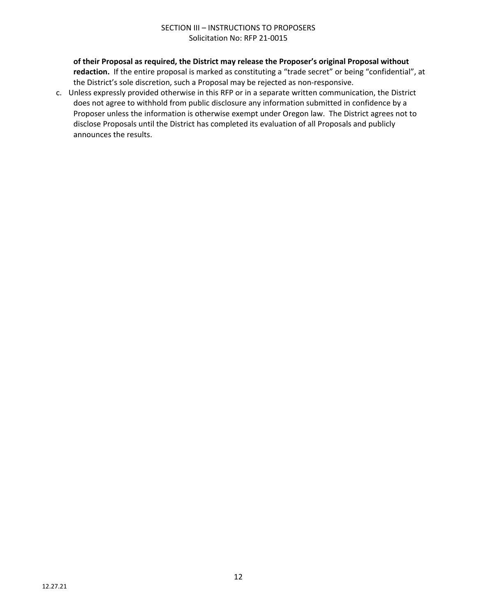#### SECTION III – INSTRUCTIONS TO PROPOSERS Solicitation No: RFP 21-0015

**of their Proposal as required, the District may release the Proposer's original Proposal without redaction.** If the entire proposal is marked as constituting a "trade secret" or being "confidential", at the District's sole discretion, such a Proposal may be rejected as non-responsive.

c. Unless expressly provided otherwise in this RFP or in a separate written communication, the District does not agree to withhold from public disclosure any information submitted in confidence by a Proposer unless the information is otherwise exempt under Oregon law. The District agrees not to disclose Proposals until the District has completed its evaluation of all Proposals and publicly announces the results.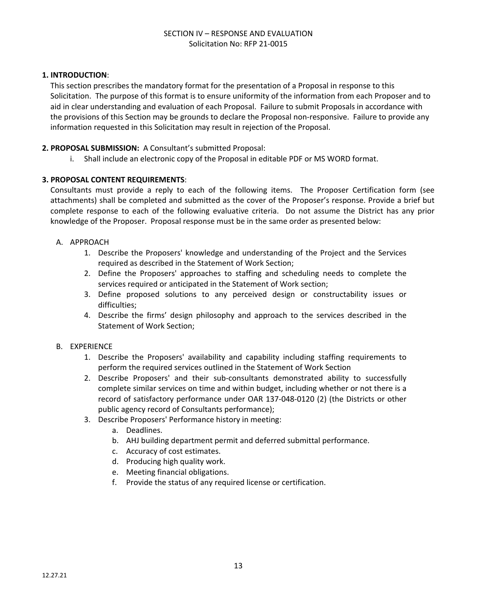#### SECTION IV – RESPONSE AND EVALUATION Solicitation No: RFP 21-0015

#### **1. INTRODUCTION**:

This section prescribes the mandatory format for the presentation of a Proposal in response to this Solicitation. The purpose of this format is to ensure uniformity of the information from each Proposer and to aid in clear understanding and evaluation of each Proposal. Failure to submit Proposals in accordance with the provisions of this Section may be grounds to declare the Proposal non-responsive. Failure to provide any information requested in this Solicitation may result in rejection of the Proposal.

#### **2. PROPOSAL SUBMISSION:** A Consultant's submitted Proposal:

i. Shall include an electronic copy of the Proposal in editable PDF or MS WORD format.

#### **3. PROPOSAL CONTENT REQUIREMENTS**:

Consultants must provide a reply to each of the following items. The Proposer Certification form (see attachments) shall be completed and submitted as the cover of the Proposer's response. Provide a brief but complete response to each of the following evaluative criteria. Do not assume the District has any prior knowledge of the Proposer. Proposal response must be in the same order as presented below:

#### A. APPROACH

- 1. Describe the Proposers' knowledge and understanding of the Project and the Services required as described in the Statement of Work Section;
- 2. Define the Proposers' approaches to staffing and scheduling needs to complete the services required or anticipated in the Statement of Work section;
- 3. Define proposed solutions to any perceived design or constructability issues or difficulties;
- 4. Describe the firms' design philosophy and approach to the services described in the Statement of Work Section;

#### B. EXPERIENCE

- 1. Describe the Proposers' availability and capability including staffing requirements to perform the required services outlined in the Statement of Work Section
- 2. Describe Proposers' and their sub-consultants demonstrated ability to successfully complete similar services on time and within budget, including whether or not there is a record of satisfactory performance under OAR 137-048-0120 (2) (the Districts or other public agency record of Consultants performance);
- 3. Describe Proposers' Performance history in meeting:
	- a. Deadlines.
	- b. AHJ building department permit and deferred submittal performance.
	- c. Accuracy of cost estimates.
	- d. Producing high quality work.
	- e. Meeting financial obligations.
	- f. Provide the status of any required license or certification.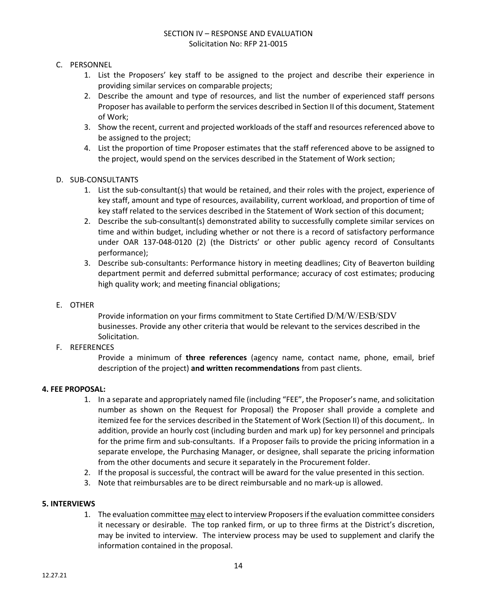#### SECTION IV – RESPONSE AND EVALUATION Solicitation No: RFP 21-0015

#### C. PERSONNEL

- 1. List the Proposers' key staff to be assigned to the project and describe their experience in providing similar services on comparable projects;
- 2. Describe the amount and type of resources, and list the number of experienced staff persons Proposer has available to perform the services described in Section II of this document, Statement of Work;
- 3. Show the recent, current and projected workloads of the staff and resources referenced above to be assigned to the project;
- 4. List the proportion of time Proposer estimates that the staff referenced above to be assigned to the project, would spend on the services described in the Statement of Work section;

#### D. SUB-CONSULTANTS

- 1. List the sub-consultant(s) that would be retained, and their roles with the project, experience of key staff, amount and type of resources, availability, current workload, and proportion of time of key staff related to the services described in the Statement of Work section of this document;
- 2. Describe the sub-consultant(s) demonstrated ability to successfully complete similar services on time and within budget, including whether or not there is a record of satisfactory performance under OAR 137-048-0120 (2) (the Districts' or other public agency record of Consultants performance);
- 3. Describe sub-consultants: Performance history in meeting deadlines; City of Beaverton building department permit and deferred submittal performance; accuracy of cost estimates; producing high quality work; and meeting financial obligations;

#### E. OTHER

Provide information on your firms commitment to State Certified D/M/W/ESB/SDV businesses. Provide any other criteria that would be relevant to the services described in the Solicitation.

#### F. REFERENCES

Provide a minimum of **three references** (agency name, contact name, phone, email, brief description of the project) **and written recommendations** from past clients.

#### **4. FEE PROPOSAL:**

- 1. In a separate and appropriately named file (including "FEE", the Proposer's name, and solicitation number as shown on the Request for Proposal) the Proposer shall provide a complete and itemized fee for the services described in the Statement of Work (Section II) of this document,. In addition, provide an hourly cost (including burden and mark up) for key personnel and principals for the prime firm and sub-consultants. If a Proposer fails to provide the pricing information in a separate envelope, the Purchasing Manager, or designee, shall separate the pricing information from the other documents and secure it separately in the Procurement folder.
- 2. If the proposal is successful, the contract will be award for the value presented in this section.
- 3. Note that reimbursables are to be direct reimbursable and no mark-up is allowed.

#### **5. INTERVIEWS**

1. The evaluation committee may elect to interview Proposers if the evaluation committee considers it necessary or desirable. The top ranked firm, or up to three firms at the District's discretion, may be invited to interview. The interview process may be used to supplement and clarify the information contained in the proposal.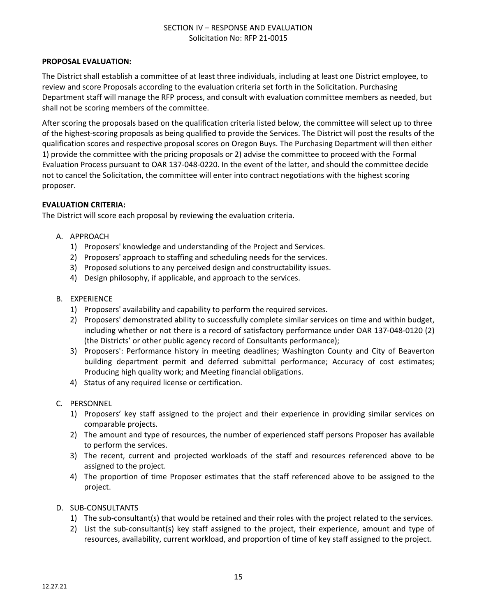#### SECTION IV – RESPONSE AND EVALUATION Solicitation No: RFP 21-0015

#### **PROPOSAL EVALUATION:**

The District shall establish a committee of at least three individuals, including at least one District employee, to review and score Proposals according to the evaluation criteria set forth in the Solicitation. Purchasing Department staff will manage the RFP process, and consult with evaluation committee members as needed, but shall not be scoring members of the committee.

After scoring the proposals based on the qualification criteria listed below, the committee will select up to three of the highest-scoring proposals as being qualified to provide the Services. The District will post the results of the qualification scores and respective proposal scores on Oregon Buys. The Purchasing Department will then either 1) provide the committee with the pricing proposals or 2) advise the committee to proceed with the Formal Evaluation Process pursuant to OAR [137-048-0220](https://secure.sos.state.or.us/oard/viewSingleRule.action?ruleVrsnRsn=266357). In the event of the latter, and should the committee decide not to cancel the Solicitation, the committee will enter into contract negotiations with the highest scoring proposer.

#### **EVALUATION CRITERIA:**

The District will score each proposal by reviewing the evaluation criteria.

- A. APPROACH
	- 1) Proposers' knowledge and understanding of the Project and Services.
	- 2) Proposers' approach to staffing and scheduling needs for the services.
	- 3) Proposed solutions to any perceived design and constructability issues.
	- 4) Design philosophy, if applicable, and approach to the services.
- B. EXPERIENCE
	- 1) Proposers' availability and capability to perform the required services.
	- 2) Proposers' demonstrated ability to successfully complete similar services on time and within budget, including whether or not there is a record of satisfactory performance under OAR 137-048-0120 (2) (the Districts' or other public agency record of Consultants performance);
	- 3) Proposers': Performance history in meeting deadlines; Washington County and City of Beaverton building department permit and deferred submittal performance; Accuracy of cost estimates; Producing high quality work; and Meeting financial obligations.
	- 4) Status of any required license or certification.
- C. PERSONNEL
	- 1) Proposers' key staff assigned to the project and their experience in providing similar services on comparable projects.
	- 2) The amount and type of resources, the number of experienced staff persons Proposer has available to perform the services.
	- 3) The recent, current and projected workloads of the staff and resources referenced above to be assigned to the project.
	- 4) The proportion of time Proposer estimates that the staff referenced above to be assigned to the project.
- D. SUB-CONSULTANTS
	- 1) The sub-consultant(s) that would be retained and their roles with the project related to the services.
	- 2) List the sub-consultant(s) key staff assigned to the project, their experience, amount and type of resources, availability, current workload, and proportion of time of key staff assigned to the project.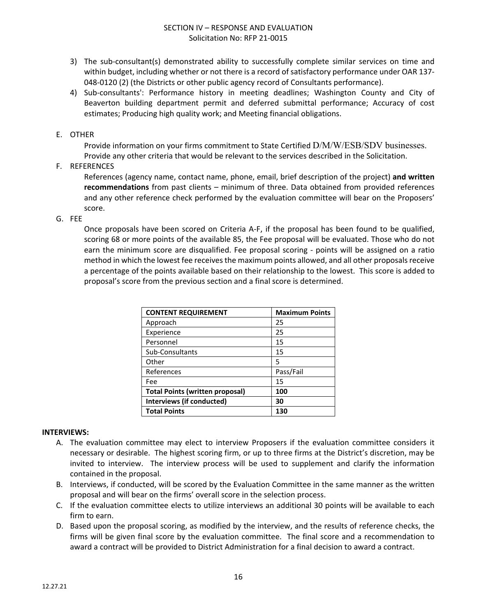- 3) The sub-consultant(s) demonstrated ability to successfully complete similar services on time and within budget, including whether or not there is a record of satisfactory performance under OAR 137- 048-0120 (2) (the Districts or other public agency record of Consultants performance).
- 4) Sub-consultants': Performance history in meeting deadlines; Washington County and City of Beaverton building department permit and deferred submittal performance; Accuracy of cost estimates; Producing high quality work; and Meeting financial obligations.
- E. OTHER

Provide information on your firms commitment to State Certified D/M/W/ESB/SDV businesses. Provide any other criteria that would be relevant to the services described in the Solicitation.

F. REFERENCES

References (agency name, contact name, phone, email, brief description of the project) **and written recommendations** from past clients – minimum of three. Data obtained from provided references and any other reference check performed by the evaluation committee will bear on the Proposers' score.

G. FEE

Once proposals have been scored on Criteria A-F, if the proposal has been found to be qualified, scoring 68 or more points of the available 85, the Fee proposal will be evaluated. Those who do not earn the minimum score are disqualified. Fee proposal scoring - points will be assigned on a ratio method in which the lowest fee receives the maximum points allowed, and all other proposals receive a percentage of the points available based on their relationship to the lowest. This score is added to proposal's score from the previous section and a final score is determined.

| <b>CONTENT REQUIREMENT</b>             | <b>Maximum Points</b> |
|----------------------------------------|-----------------------|
| Approach                               | 25                    |
| Experience                             | 25                    |
| Personnel                              | 15                    |
| Sub-Consultants                        | 15                    |
| Other                                  | 5                     |
| References                             | Pass/Fail             |
| Fee                                    | 15                    |
| <b>Total Points (written proposal)</b> | 100                   |
| Interviews (if conducted)              | 30                    |
| <b>Total Points</b>                    | 130                   |

#### **INTERVIEWS:**

- A. The evaluation committee may elect to interview Proposers if the evaluation committee considers it necessary or desirable. The highest scoring firm, or up to three firms at the District's discretion, may be invited to interview. The interview process will be used to supplement and clarify the information contained in the proposal.
- B. Interviews, if conducted, will be scored by the Evaluation Committee in the same manner as the written proposal and will bear on the firms' overall score in the selection process.
- C. If the evaluation committee elects to utilize interviews an additional 30 points will be available to each firm to earn.
- D. Based upon the proposal scoring, as modified by the interview, and the results of reference checks, the firms will be given final score by the evaluation committee. The final score and a recommendation to award a contract will be provided to District Administration for a final decision to award a contract.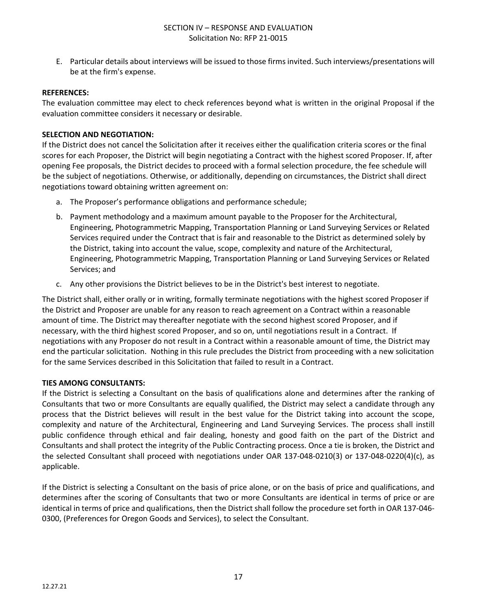E. Particular details about interviews will be issued to those firms invited. Such interviews/presentations will be at the firm's expense.

#### **REFERENCES:**

The evaluation committee may elect to check references beyond what is written in the original Proposal if the evaluation committee considers it necessary or desirable.

#### **SELECTION AND NEGOTIATION:**

If the District does not cancel the Solicitation after it receives either the qualification criteria scores or the final scores for each Proposer, the District will begin negotiating a Contract with the highest scored Proposer. If, after opening Fee proposals, the District decides to proceed with a formal selection procedure, the fee schedule will be the subject of negotiations. Otherwise, or additionally, depending on circumstances, the District shall direct negotiations toward obtaining written agreement on:

- a. The Proposer's performance obligations and performance schedule;
- b. Payment methodology and a maximum amount payable to the Proposer for the Architectural, Engineering, Photogrammetric Mapping, Transportation Planning or Land Surveying Services or Related Services required under the Contract that is fair and reasonable to the District as determined solely by the District, taking into account the value, scope, complexity and nature of the Architectural, Engineering, Photogrammetric Mapping, Transportation Planning or Land Surveying Services or Related Services; and
- c. Any other provisions the District believes to be in the District's best interest to negotiate.

The District shall, either orally or in writing, formally terminate negotiations with the highest scored Proposer if the District and Proposer are unable for any reason to reach agreement on a Contract within a reasonable amount of time. The District may thereafter negotiate with the second highest scored Proposer, and if necessary, with the third highest scored Proposer, and so on, until negotiations result in a Contract. If negotiations with any Proposer do not result in a Contract within a reasonable amount of time, the District may end the particular solicitation. Nothing in this rule precludes the District from proceeding with a new solicitation for the same Services described in this Solicitation that failed to result in a Contract.

#### **TIES AMONG CONSULTANTS:**

If the District is selecting a Consultant on the basis of qualifications alone and determines after the ranking of Consultants that two or more Consultants are equally qualified, the District may select a candidate through any process that the District believes will result in the best value for the District taking into account the scope, complexity and nature of the Architectural, Engineering and Land Surveying Services. The process shall instill public confidence through ethical and fair dealing, honesty and good faith on the part of the District and Consultants and shall protect the integrity of the Public Contracting process. Once a tie is broken, the District and the selected Consultant shall proceed with negotiations under OAR 137-048-0210(3) or 137-048-0220(4)(c), as applicable.

If the District is selecting a Consultant on the basis of price alone, or on the basis of price and qualifications, and determines after the scoring of Consultants that two or more Consultants are identical in terms of price or are identical in terms of price and qualifications, then the District shall follow the procedure set forth in OAR 137-046- 0300, (Preferences for Oregon Goods and Services), to select the Consultant.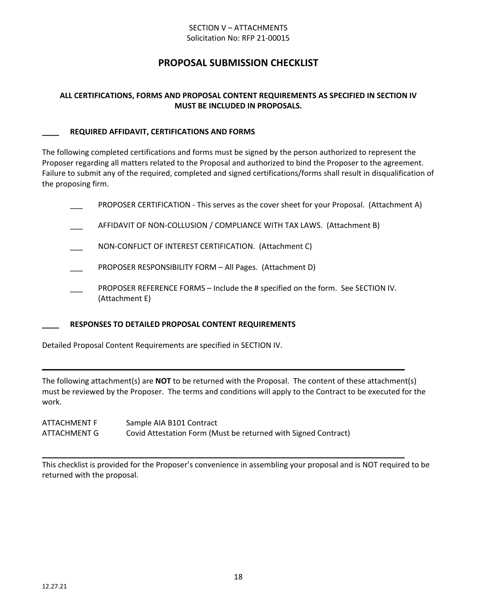#### SECTION V – ATTACHMENTS Solicitation No: RFP 21-00015

# **PROPOSAL SUBMISSION CHECKLIST**

#### **ALL CERTIFICATIONS, FORMS AND PROPOSAL CONTENT REQUIREMENTS AS SPECIFIED IN SECTION IV MUST BE INCLUDED IN PROPOSALS.**

#### **\_\_\_\_ REQUIRED AFFIDAVIT, CERTIFICATIONS AND FORMS**

The following completed certifications and forms must be signed by the person authorized to represent the Proposer regarding all matters related to the Proposal and authorized to bind the Proposer to the agreement. Failure to submit any of the required, completed and signed certifications/forms shall result in disqualification of the proposing firm.

PROPOSER CERTIFICATION - This serves as the cover sheet for your Proposal. (Attachment A)

- AFFIDAVIT OF NON-COLLUSION / COMPLIANCE WITH TAX LAWS. (Attachment B)
- \_\_\_ NON-CONFLICT OF INTEREST CERTIFICATION. (Attachment C)
- PROPOSER RESPONSIBILITY FORM All Pages. (Attachment D)
- PROPOSER REFERENCE FORMS Include the # specified on the form. See SECTION IV. (Attachment E)

#### **\_\_\_\_ RESPONSES TO DETAILED PROPOSAL CONTENT REQUIREMENTS**

Detailed Proposal Content Requirements are specified in SECTION IV.

The following attachment(s) are **NOT** to be returned with the Proposal. The content of these attachment(s) must be reviewed by the Proposer. The terms and conditions will apply to the Contract to be executed for the work.

**\_\_\_\_\_\_\_\_\_\_\_\_\_\_\_\_\_\_\_\_\_\_\_\_\_\_\_\_\_\_\_\_\_\_\_\_\_\_\_\_\_\_\_\_\_\_\_\_\_\_\_\_\_\_\_\_\_\_\_\_\_\_\_\_\_\_\_\_\_\_\_\_\_\_\_\_\_\_\_\_\_\_\_\_\_**

| ATTACHMENT F | Sample AIA B101 Contract                                       |
|--------------|----------------------------------------------------------------|
| ATTACHMENT G | Covid Attestation Form (Must be returned with Signed Contract) |

This checklist is provided for the Proposer's convenience in assembling your proposal and is NOT required to be returned with the proposal.

**\_\_\_\_\_\_\_\_\_\_\_\_\_\_\_\_\_\_\_\_\_\_\_\_\_\_\_\_\_\_\_\_\_\_\_\_\_\_\_\_\_\_\_\_\_\_\_\_\_\_\_\_\_\_\_\_\_\_\_\_\_\_\_\_\_\_\_\_\_\_\_\_\_\_\_\_\_\_\_\_\_\_\_\_\_**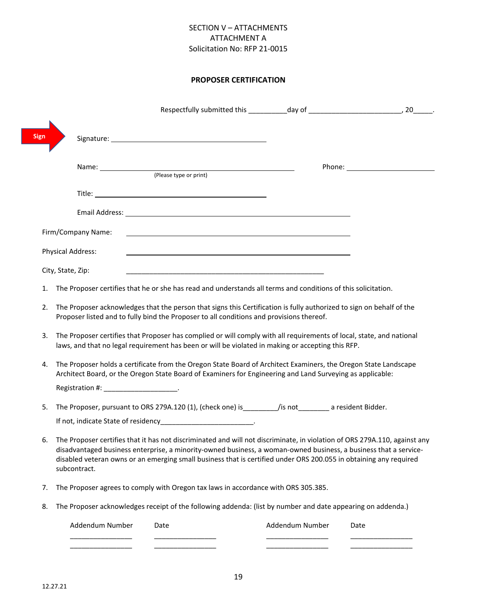#### SECTION V – ATTACHMENTS ATTACHMENT A Solicitation No: RFP 21-0015

#### **PROPOSER CERTIFICATION**

| <b>Sign</b> |                                         |                                                                                                                                                                                                                                                                                                                                                                    |                 |      |
|-------------|-----------------------------------------|--------------------------------------------------------------------------------------------------------------------------------------------------------------------------------------------------------------------------------------------------------------------------------------------------------------------------------------------------------------------|-----------------|------|
|             |                                         |                                                                                                                                                                                                                                                                                                                                                                    |                 |      |
|             |                                         |                                                                                                                                                                                                                                                                                                                                                                    |                 |      |
|             |                                         |                                                                                                                                                                                                                                                                                                                                                                    |                 |      |
|             |                                         |                                                                                                                                                                                                                                                                                                                                                                    |                 |      |
|             | Firm/Company Name:                      | the control of the control of the control of the control of the control of the control of the control of the control of the control of the control of the control of the control of the control of the control of the control                                                                                                                                      |                 |      |
|             | <b>Physical Address:</b>                |                                                                                                                                                                                                                                                                                                                                                                    |                 |      |
|             | City, State, Zip:                       |                                                                                                                                                                                                                                                                                                                                                                    |                 |      |
| 1.          |                                         | The Proposer certifies that he or she has read and understands all terms and conditions of this solicitation.                                                                                                                                                                                                                                                      |                 |      |
| 2.          |                                         | The Proposer acknowledges that the person that signs this Certification is fully authorized to sign on behalf of the<br>Proposer listed and to fully bind the Proposer to all conditions and provisions thereof.                                                                                                                                                   |                 |      |
| 3.          |                                         | The Proposer certifies that Proposer has complied or will comply with all requirements of local, state, and national<br>laws, and that no legal requirement has been or will be violated in making or accepting this RFP.                                                                                                                                          |                 |      |
| 4.          |                                         | The Proposer holds a certificate from the Oregon State Board of Architect Examiners, the Oregon State Landscape<br>Architect Board, or the Oregon State Board of Examiners for Engineering and Land Surveying as applicable:                                                                                                                                       |                 |      |
|             | Registration #: ______________________. |                                                                                                                                                                                                                                                                                                                                                                    |                 |      |
| 5.          |                                         | The Proposer, pursuant to ORS 279A.120 (1), (check one) is__________/is not_________ a resident Bidder.                                                                                                                                                                                                                                                            |                 |      |
|             |                                         |                                                                                                                                                                                                                                                                                                                                                                    |                 |      |
| 6.          | subcontract.                            | The Proposer certifies that it has not discriminated and will not discriminate, in violation of ORS 279A.110, against any<br>disadvantaged business enterprise, a minority-owned business, a woman-owned business, a business that a service-<br>disabled veteran owns or an emerging small business that is certified under ORS 200.055 in obtaining any required |                 |      |
| 7.          |                                         | The Proposer agrees to comply with Oregon tax laws in accordance with ORS 305.385.                                                                                                                                                                                                                                                                                 |                 |      |
| 8.          |                                         | The Proposer acknowledges receipt of the following addenda: (list by number and date appearing on addenda.)                                                                                                                                                                                                                                                        |                 |      |
|             | Addendum Number                         | Date                                                                                                                                                                                                                                                                                                                                                               | Addendum Number | Date |

ſ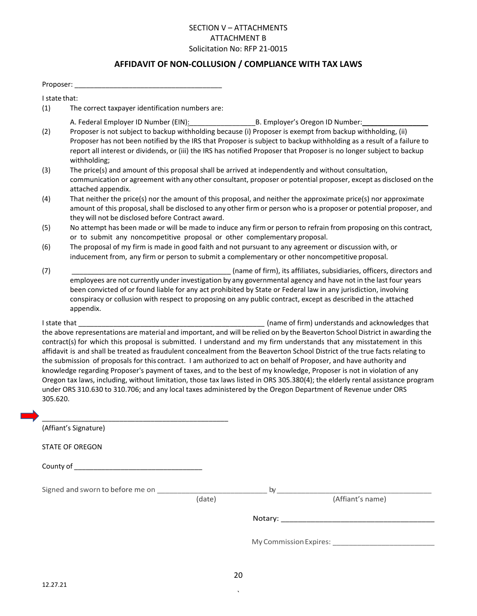#### SECTION V – ATTACHMENTS ATTACHMENT B Solicitation No: RFP 21-0015

# **AFFIDAVIT OF NON-COLLUSION / COMPLIANCE WITH TAX LAWS**

| Proposer:     |                                                                                                                                                                                                                                                                                                                                                                                                                                                                                                                                                                                                                                                                                                                                                                                                                                                                                                                                            |  |  |
|---------------|--------------------------------------------------------------------------------------------------------------------------------------------------------------------------------------------------------------------------------------------------------------------------------------------------------------------------------------------------------------------------------------------------------------------------------------------------------------------------------------------------------------------------------------------------------------------------------------------------------------------------------------------------------------------------------------------------------------------------------------------------------------------------------------------------------------------------------------------------------------------------------------------------------------------------------------------|--|--|
| I state that: |                                                                                                                                                                                                                                                                                                                                                                                                                                                                                                                                                                                                                                                                                                                                                                                                                                                                                                                                            |  |  |
| (1)           | The correct taxpayer identification numbers are:                                                                                                                                                                                                                                                                                                                                                                                                                                                                                                                                                                                                                                                                                                                                                                                                                                                                                           |  |  |
| (2)           | A. Federal Employer ID Number (EIN): B. Employer's Oregon ID Number:<br>Proposer is not subject to backup withholding because (i) Proposer is exempt from backup withholding, (ii)<br>Proposer has not been notified by the IRS that Proposer is subject to backup withholding as a result of a failure to<br>report all interest or dividends, or (iii) the IRS has notified Proposer that Proposer is no longer subject to backup<br>withholding;                                                                                                                                                                                                                                                                                                                                                                                                                                                                                        |  |  |
| (3)           | The price(s) and amount of this proposal shall be arrived at independently and without consultation,<br>communication or agreement with any other consultant, proposer or potential proposer, except as disclosed on the<br>attached appendix.                                                                                                                                                                                                                                                                                                                                                                                                                                                                                                                                                                                                                                                                                             |  |  |
| (4)           | That neither the price(s) nor the amount of this proposal, and neither the approximate price(s) nor approximate<br>amount of this proposal, shall be disclosed to any other firm or person who is a proposer or potential proposer, and<br>they will not be disclosed before Contract award.                                                                                                                                                                                                                                                                                                                                                                                                                                                                                                                                                                                                                                               |  |  |
| (5)           | No attempt has been made or will be made to induce any firm or person to refrain from proposing on this contract,<br>or to submit any noncompetitive proposal or other complementary proposal.                                                                                                                                                                                                                                                                                                                                                                                                                                                                                                                                                                                                                                                                                                                                             |  |  |
| (6)           | The proposal of my firm is made in good faith and not pursuant to any agreement or discussion with, or<br>inducement from, any firm or person to submit a complementary or other noncompetitive proposal.                                                                                                                                                                                                                                                                                                                                                                                                                                                                                                                                                                                                                                                                                                                                  |  |  |
| (7)           | (name of firm), its affiliates, subsidiaries, officers, directors and<br>employees are not currently under investigation by any governmental agency and have not in the last four years<br>been convicted of or found liable for any act prohibited by State or Federal law in any jurisdiction, involving<br>conspiracy or collusion with respect to proposing on any public contract, except as described in the attached<br>appendix.                                                                                                                                                                                                                                                                                                                                                                                                                                                                                                   |  |  |
| 305.620.      | (name of firm) understands and acknowledges that<br>the above representations are material and important, and will be relied on by the Beaverton School District in awarding the<br>contract(s) for which this proposal is submitted. I understand and my firm understands that any misstatement in this<br>affidavit is and shall be treated as fraudulent concealment from the Beaverton School District of the true facts relating to<br>the submission of proposals for this contract. I am authorized to act on behalf of Proposer, and have authority and<br>knowledge regarding Proposer's payment of taxes, and to the best of my knowledge, Proposer is not in violation of any<br>Oregon tax laws, including, without limitation, those tax laws listed in ORS 305.380(4); the elderly rental assistance program<br>under ORS 310.630 to 310.706; and any local taxes administered by the Oregon Department of Revenue under ORS |  |  |
|               | (Affiant's Signature)                                                                                                                                                                                                                                                                                                                                                                                                                                                                                                                                                                                                                                                                                                                                                                                                                                                                                                                      |  |  |
|               | <b>STATE OF OREGON</b>                                                                                                                                                                                                                                                                                                                                                                                                                                                                                                                                                                                                                                                                                                                                                                                                                                                                                                                     |  |  |
|               |                                                                                                                                                                                                                                                                                                                                                                                                                                                                                                                                                                                                                                                                                                                                                                                                                                                                                                                                            |  |  |
|               | (Affiant's name)<br>(date)                                                                                                                                                                                                                                                                                                                                                                                                                                                                                                                                                                                                                                                                                                                                                                                                                                                                                                                 |  |  |
|               |                                                                                                                                                                                                                                                                                                                                                                                                                                                                                                                                                                                                                                                                                                                                                                                                                                                                                                                                            |  |  |
|               |                                                                                                                                                                                                                                                                                                                                                                                                                                                                                                                                                                                                                                                                                                                                                                                                                                                                                                                                            |  |  |
|               |                                                                                                                                                                                                                                                                                                                                                                                                                                                                                                                                                                                                                                                                                                                                                                                                                                                                                                                                            |  |  |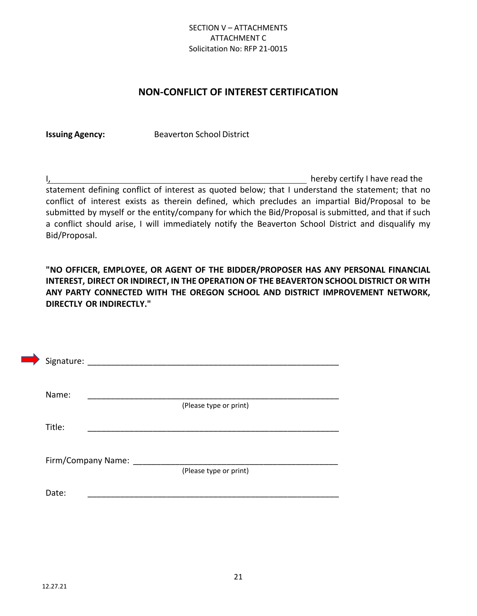#### SECTION V – ATTACHMENTS ATTACHMENT C Solicitation No: RFP 21-0015

# **NON-CONFLICT OF INTEREST CERTIFICATION**

**Issuing Agency:** Beaverton School District

I, hereby certify I have read the statement defining conflict of interest as quoted below; that I understand the statement; that no conflict of interest exists as therein defined, which precludes an impartial Bid/Proposal to be submitted by myself or the entity/company for which the Bid/Proposal is submitted, and that if such a conflict should arise, I will immediately notify the Beaverton School District and disqualify my Bid/Proposal.

**"NO OFFICER, EMPLOYEE, OR AGENT OF THE BIDDER/PROPOSER HAS ANY PERSONAL FINANCIAL INTEREST, DIRECT OR INDIRECT, IN THE OPERATION OF THE BEAVERTON SCHOOL DISTRICT OR WITH ANY PARTY CONNECTED WITH THE OREGON SCHOOL AND DISTRICT IMPROVEMENT NETWORK, DIRECTLY OR INDIRECTLY."**

| Signature:         |                        |
|--------------------|------------------------|
| Name:              | (Please type or print) |
| Title:             |                        |
| Firm/Company Name: | (Please type or print) |
| Date:              |                        |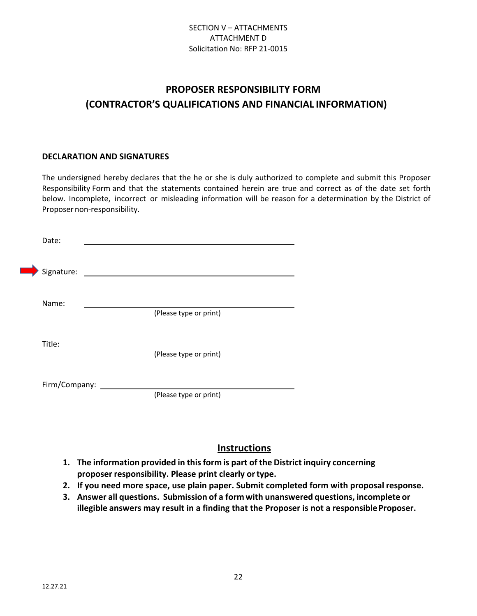# **PROPOSER RESPONSIBILITY FORM (CONTRACTOR'S QUALIFICATIONS AND FINANCIAL INFORMATION)**

#### **DECLARATION AND SIGNATURES**

The undersigned hereby declares that the he or she is duly authorized to complete and submit this Proposer Responsibility Form and that the statements contained herein are true and correct as of the date set forth below. Incomplete, incorrect or misleading information will be reason for a determination by the District of Proposer non-responsibility.

| Date:         |                        |
|---------------|------------------------|
| Signature:    |                        |
| Name:         | (Please type or print) |
|               |                        |
| Title:        | (Please type or print) |
| Firm/Company: |                        |
|               | (Please type or print) |

# **Instructions**

- **1. The information provided in this form is part of the District inquiry concerning proposer responsibility. Please print clearly or type.**
- **2. If you need more space, use plain paper. Submit completed form with proposal response.**
- **3. Answer all questions. Submission of a form with unanswered questions, incomplete or illegible answers may result in a finding that the Proposer is not a responsible Proposer.**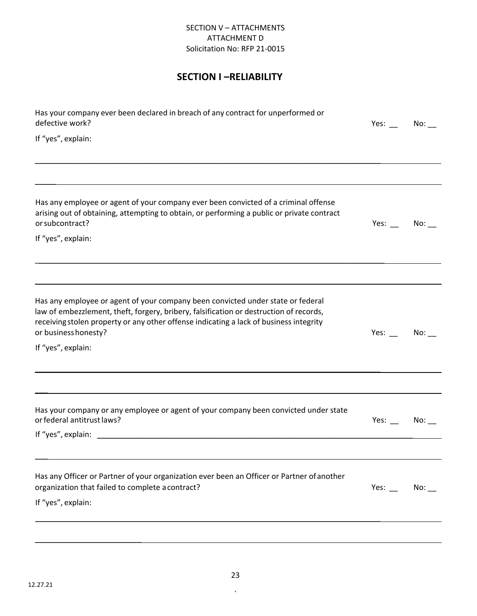#### SECTION V – ATTACHMENTS ATTACHMENT D Solicitation No: RFP 21-0015

# **SECTION I –RELIABILITY**

| Has your company ever been declared in breach of any contract for unperformed or<br>defective work?                                                                                                                                                                                         | Yes: $\_\_$ No: $\_\_$ |     |
|---------------------------------------------------------------------------------------------------------------------------------------------------------------------------------------------------------------------------------------------------------------------------------------------|------------------------|-----|
| If "yes", explain:                                                                                                                                                                                                                                                                          |                        |     |
|                                                                                                                                                                                                                                                                                             |                        |     |
| Has any employee or agent of your company ever been convicted of a criminal offense<br>arising out of obtaining, attempting to obtain, or performing a public or private contract<br>or subcontract?                                                                                        | Yes: $\qquad \qquad$   | No: |
| If "yes", explain:                                                                                                                                                                                                                                                                          |                        |     |
|                                                                                                                                                                                                                                                                                             |                        |     |
| Has any employee or agent of your company been convicted under state or federal<br>law of embezzlement, theft, forgery, bribery, falsification or destruction of records,<br>receiving stolen property or any other offense indicating a lack of business integrity<br>or business honesty? | Yes: $\_\_$            | No: |
| If "yes", explain:                                                                                                                                                                                                                                                                          |                        |     |
|                                                                                                                                                                                                                                                                                             |                        |     |
| Has your company or any employee or agent of your company been convicted under state<br>or federal antitrust laws?                                                                                                                                                                          | Yes: $\qquad \qquad$   | No: |
|                                                                                                                                                                                                                                                                                             |                        |     |
| Has any Officer or Partner of your organization ever been an Officer or Partner of another<br>organization that failed to complete a contract?<br>If "yes", explain:                                                                                                                        | Yes: $\qquad \qquad$   | No: |
|                                                                                                                                                                                                                                                                                             |                        |     |
|                                                                                                                                                                                                                                                                                             |                        |     |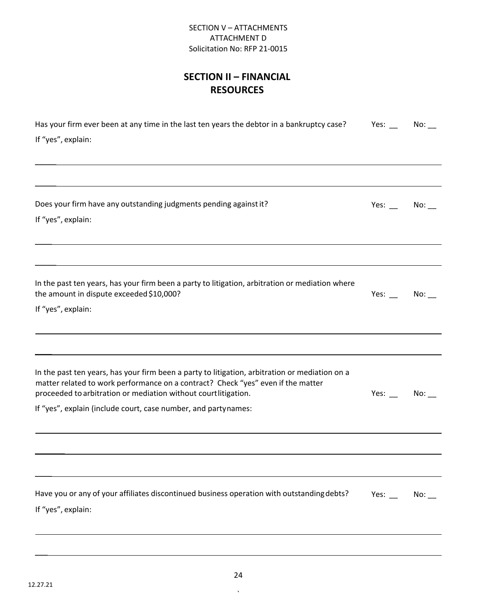#### SECTION V – ATTACHMENTS ATTACHMENT D Solicitation No: RFP 21-0015

# **SECTION II – FINANCIAL RESOURCES**

| Has your firm ever been at any time in the last ten years the debtor in a bankruptcy case?<br>If "yes", explain:                                                                                                                                                                                                       | Yes: $\_\_$ | No: |
|------------------------------------------------------------------------------------------------------------------------------------------------------------------------------------------------------------------------------------------------------------------------------------------------------------------------|-------------|-----|
|                                                                                                                                                                                                                                                                                                                        |             |     |
| Does your firm have any outstanding judgments pending against it?<br>If "yes", explain:                                                                                                                                                                                                                                | Yes: $\_\_$ | No: |
|                                                                                                                                                                                                                                                                                                                        |             |     |
| In the past ten years, has your firm been a party to litigation, arbitration or mediation where<br>the amount in dispute exceeded \$10,000?<br>If "yes", explain:                                                                                                                                                      | Yes:        | No: |
|                                                                                                                                                                                                                                                                                                                        |             |     |
| In the past ten years, has your firm been a party to litigation, arbitration or mediation on a<br>matter related to work performance on a contract? Check "yes" even if the matter<br>proceeded to arbitration or mediation without courtlitigation.<br>If "yes", explain (include court, case number, and partynames: | $Yes:$ No:  |     |
|                                                                                                                                                                                                                                                                                                                        |             |     |
|                                                                                                                                                                                                                                                                                                                        |             |     |
| Have you or any of your affiliates discontinued business operation with outstanding debts?<br>If "yes", explain:                                                                                                                                                                                                       | Yes: $\_\_$ | No: |
|                                                                                                                                                                                                                                                                                                                        |             |     |

 $\overline{\phantom{a}}$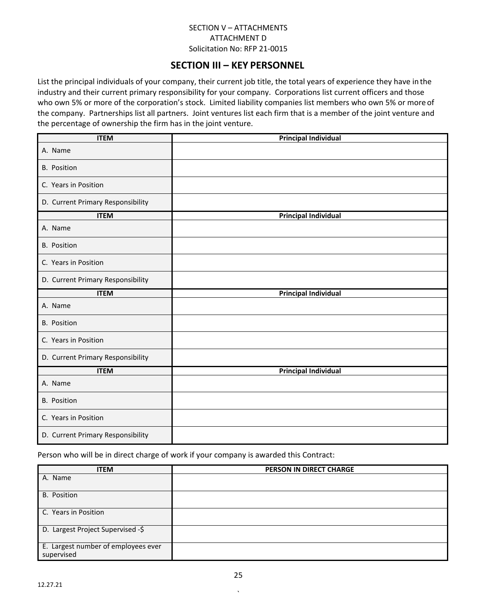#### SECTION V – ATTACHMENTS ATTACHMENT D Solicitation No: RFP 21-0015

# **SECTION III – KEY PERSONNEL**

List the principal individuals of your company, their current job title, the total years of experience they have in the industry and their current primary responsibility for your company. Corporations list current officers and those who own 5% or more of the corporation's stock. Limited liability companies list members who own 5% or more of the company. Partnerships list all partners. Joint ventures list each firm that is a member of the joint venture and the percentage of ownership the firm has in the joint venture.

| <b>ITEM</b>                       | <b>Principal Individual</b> |
|-----------------------------------|-----------------------------|
| A. Name                           |                             |
| <b>B.</b> Position                |                             |
| C. Years in Position              |                             |
| D. Current Primary Responsibility |                             |
| <b>ITEM</b>                       | <b>Principal Individual</b> |
| A. Name                           |                             |
| <b>B.</b> Position                |                             |
| C. Years in Position              |                             |
| D. Current Primary Responsibility |                             |
| <b>ITEM</b>                       | <b>Principal Individual</b> |
| A. Name                           |                             |
| <b>B.</b> Position                |                             |
| C. Years in Position              |                             |
| D. Current Primary Responsibility |                             |
| <b>ITEM</b>                       | <b>Principal Individual</b> |
| A. Name                           |                             |
| <b>B.</b> Position                |                             |
| C. Years in Position              |                             |
| D. Current Primary Responsibility |                             |

Person who will be in direct charge of work if your company is awarded this Contract:

| <b>ITEM</b>                                       | PERSON IN DIRECT CHARGE |
|---------------------------------------------------|-------------------------|
| A. Name                                           |                         |
| <b>B.</b> Position                                |                         |
| C. Years in Position                              |                         |
| D. Largest Project Supervised -\$                 |                         |
| E. Largest number of employees ever<br>supervised |                         |